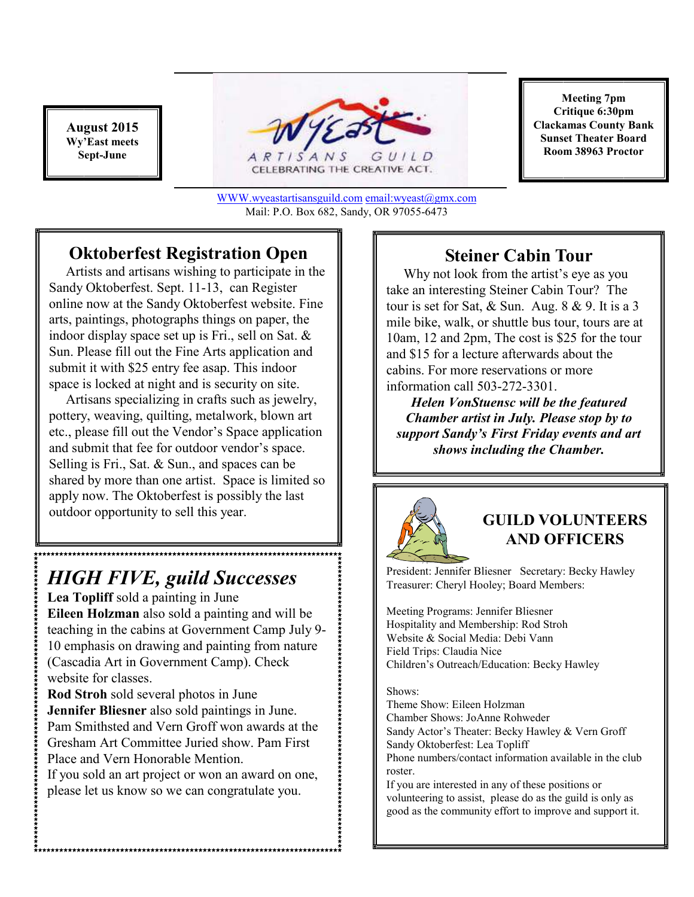**August 2015 Wy'East meets Sept-June** 



WWW.wyeastartisansguild.com email:wyeast@gmx.com Mail: P.O. Box 682, Sandy, OR 97055-6473

### **Oktoberfest Registration Open**

 Artists and artisans wishing to participate in the Sandy Oktoberfest. Sept. 11-13, can Register online now at the Sandy Oktoberfest website. Fine arts, paintings, photographs things on paper, the indoor display space set up is Fri., sell on Sat. & Sun. Please fill out the Fine Arts application and submit it with \$25 entry fee asap. This indoor space is locked at night and is security on site.

 Artisans specializing in crafts such as jewelry, pottery, weaving, quilting, metalwork, blown art etc., please fill out the Vendor's Space application and submit that fee for outdoor vendor's space. Selling is Fri., Sat. & Sun., and spaces can be shared by more than one artist. Space is limited so apply now. The Oktoberfest is possibly the last outdoor opportunity to sell this year.

# *HIGH FIVE, guild Successes*

**Lea Topliff** sold a painting in June **Eileen Holzman** also sold a painting and will be teaching in the cabins at Government Camp July 9- 10 emphasis on drawing and painting from nature (Cascadia Art in Government Camp). Check website for classes.

**Rod Stroh** sold several photos in June **Jennifer Bliesner** also sold paintings in June. Pam Smithsted and Vern Groff won awards at the Gresham Art Committee Juried show. Pam First Place and Vern Honorable Mention.

If you sold an art project or won an award on one, please let us know so we can congratulate you.

**Meeting 7pm Critique 6:30pm Clackamas County Bank Sunset Theater Board Room 38963 Proctor** 

### **Steiner Cabin Tour**

 Why not look from the artist's eye as you take an interesting Steiner Cabin Tour? The tour is set for Sat, & Sun. Aug. 8 & 9. It is a 3 mile bike, walk, or shuttle bus tour, tours are at 10am, 12 and 2pm, The cost is \$25 for the tour and \$15 for a lecture afterwards about the cabins. For more reservations or more information call 503-272-3301.

*Helen VonStuensc will be the featured Chamber artist in July. Please stop by to support Sandy's First Friday events and art shows including the Chamber.* 



#### **GUILD VOLUNTEERS AND OFFICERS**

President: Jennifer Bliesner Secretary: Becky Hawley Treasurer: Cheryl Hooley; Board Members:

Meeting Programs: Jennifer Bliesner Hospitality and Membership: Rod Stroh Website & Social Media: Debi Vann Field Trips: Claudia Nice Children's Outreach/Education: Becky Hawley

#### Shows:

Theme Show: Eileen Holzman Chamber Shows: JoAnne Rohweder Sandy Actor's Theater: Becky Hawley & Vern Groff Sandy Oktoberfest: Lea Topliff Phone numbers/contact information available in the club roster.

If you are interested in any of these positions or volunteering to assist, please do as the guild is only as good as the community effort to improve and support it.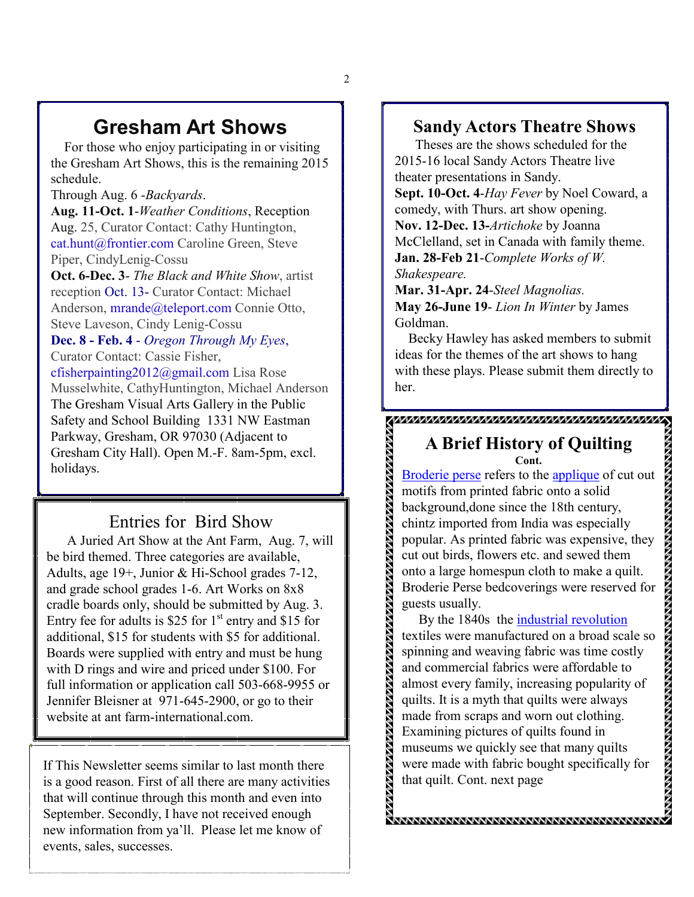# **Gresham Art Shows**

 For those who enjoy participating in or visiting the Gresham Art Shows, this is the remaining 2015 schedule.

Through Aug. 6 -*Backyards*.

**Aug. 11-Oct. 1**-*Weather Conditions*, Reception Aug. 25, Curator Contact: Cathy Huntington, cat.hunt@frontier.com Caroline Green, Steve Piper, CindyLenig-Cossu

**Oct. 6-Dec. 3**- *The Black and White Show*, artist reception Oct. 13- Curator Contact: Michael Anderson, mrande@teleport.com Connie Otto, Steve Laveson, Cindy Lenig-Cossu

**Dec. 8 - Feb. 4** - *Oregon Through My Eyes*, Curator Contact: Cassie Fisher,

cfisherpainting2012@gmail.com Lisa Rose Musselwhite, CathyHuntington, Michael Anderson The Gresham Visual Arts Gallery in the Public Safety and School Building 1331 NW Eastman Parkway, Gresham, OR 97030 (Adjacent to Gresham City Hall). Open M.-F. 8am-5pm, excl. holidays.

#### Entries for Bird Show

 A Juried Art Show at the Ant Farm, Aug. 7, will be bird themed. Three categories are available, Adults, age 19+, Junior & Hi-School grades 7-12, and grade school grades 1-6. Art Works on 8x8 cradle boards only, should be submitted by Aug. 3. Entry fee for adults is \$25 for  $1<sup>st</sup>$  entry and \$15 for additional, \$15 for students with \$5 for additional. Boards were supplied with entry and must be hung with D rings and wire and priced under \$100. For full information or application call 503-668-9955 or Jennifer Bleisner at 971-645-2900, or go to their website at ant farm-international.com.

If This Newsletter seems similar to last month there is a good reason. First of all there are many activities that will continue through this month and even into September. Secondly, I have not received enough new information from ya'll. Please let me know of events, sales, successes.

#### **Sandy Actors Theatre Shows**

 Theses are the shows scheduled for the 2015-16 local Sandy Actors Theatre live theater presentations in Sandy.

**Sept. 10-Oct. 4**-*Hay Fever* by Noel Coward, a comedy, with Thurs. art show opening. **Nov. 12-Dec. 13-***Artichoke* by Joanna McClelland, set in Canada with family theme. **Jan. 28-Feb 21**-*Complete Works of W. Shakespeare.* 

**Mar. 31-Apr. 24**-*Steel Magnolias.* **May 26-June 19**- *Lion In Winter* by James Goldman.

in an an dar an dar an dar an dar an dar an dar an dalam dagan dagan dagan dagan dagan dagan dagan dagan daga

 Becky Hawley has asked members to submit ideas for the themes of the art shows to hang with these plays. Please submit them directly to her.

#### **A Brief History of Quilting Cont.**

Broderie perse refers to the applique of cut out motifs from printed fabric onto a solid background,done since the 18th century, chintz imported from India was especially popular. As printed fabric was expensive, they cut out birds, flowers etc. and sewed them onto a large homespun cloth to make a quilt. Broderie Perse bedcoverings were reserved for guests usually.

 By the 1840s the industrial revolution textiles were manufactured on a broad scale so spinning and weaving fabric was time costly and commercial fabrics were affordable to almost every family, increasing popularity of quilts. It is a myth that quilts were always made from scraps and worn out clothing. Examining pictures of quilts found in museums we quickly see that many quilts were made with fabric bought specifically for that quilt. Cont. next page

*<u> Communation communation community of the community of the community of the community of the community of the community of community of community of community of community of community of community of community of commu*</u>